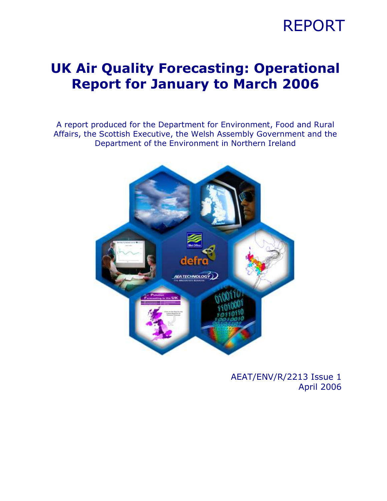

### UK Air Quality Forecasting: Operational Report for January to March 2006

A report produced for the Department for Environment, Food and Rural Affairs, the Scottish Executive, the Welsh Assembly Government and the Department of the Environment in Northern Ireland



AEAT/ENV/R/2213 Issue 1 April 2006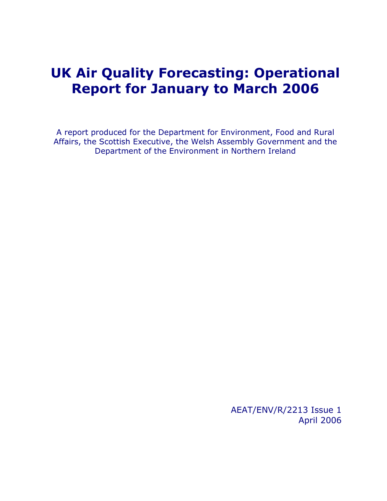### UK Air Quality Forecasting: Operational Report for January to March 2006

A report produced for the Department for Environment, Food and Rural Affairs, the Scottish Executive, the Welsh Assembly Government and the Department of the Environment in Northern Ireland

> AEAT/ENV/R/2213 Issue 1 April 2006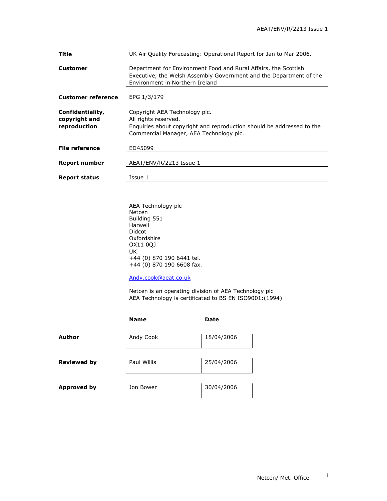| Title                                             | UK Air Quality Forecasting: Operational Report for Jan to Mar 2006.                                                                                                       |
|---------------------------------------------------|---------------------------------------------------------------------------------------------------------------------------------------------------------------------------|
| <b>Customer</b>                                   | Department for Environment Food and Rural Affairs, the Scottish<br>Executive, the Welsh Assembly Government and the Department of the<br>Environment in Northern Ireland  |
| <b>Customer reference</b>                         | EPG 1/3/179                                                                                                                                                               |
| Confidentiality,<br>copyright and<br>reproduction | Copyright AEA Technology plc.<br>All rights reserved.<br>Enquiries about copyright and reproduction should be addressed to the<br>Commercial Manager, AEA Technology plc. |
| <b>File reference</b>                             | ED45099                                                                                                                                                                   |
| <b>Report number</b>                              | AEAT/ENV/R/2213 Issue 1                                                                                                                                                   |
| <b>Report status</b>                              | Issue 1                                                                                                                                                                   |

AEA Technology plc Netcen Building 551 Harwell Didcot Oxfordshire OX11 0QJ UK +44 (0) 870 190 6441 tel.  $+44(0)$  870 190 6608 fax.

### Andy.cook@aeat.co.uk

 Netcen is an operating division of AEA Technology plc AEA Technology is certificated to BS EN ISO9001:(1994)

|                    | <b>Name</b> | <b>Date</b> |
|--------------------|-------------|-------------|
| <b>Author</b>      | Andy Cook   | 18/04/2006  |
| <b>Reviewed by</b> | Paul Willis | 25/04/2006  |
| <b>Approved by</b> | Jon Bower   | 30/04/2006  |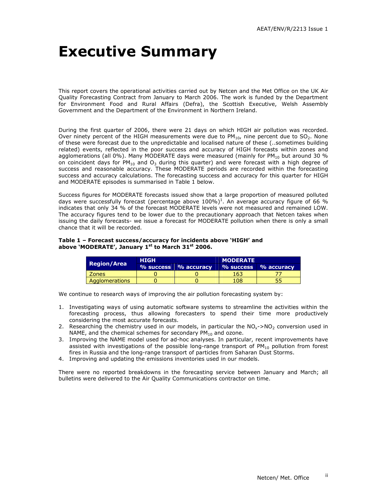### Executive Summary

This report covers the operational activities carried out by Netcen and the Met Office on the UK Air Quality Forecasting Contract from January to March 2006. The work is funded by the Department for Environment Food and Rural Affairs (Defra), the Scottish Executive, Welsh Assembly Government and the Department of the Environment in Northern Ireland.

During the first quarter of 2006, there were 21 days on which HIGH air pollution was recorded. Over ninety percent of the HIGH measurements were due to  $PM_{10}$ , nine percent due to  $SO_2$ . None of these were forecast due to the unpredictable and localised nature of these (..sometimes building related) events, reflected in the poor success and accuracy of HIGH forecasts within zones and agglomerations (all 0%). Many MODERATE days were measured (mainly for  $PM_{10}$  but around 30 % on coincident days for  $PM_{10}$  and  $O_3$  during this quarter) and were forecast with a high degree of success and reasonable accuracy. These MODERATE periods are recorded within the forecasting success and accuracy calculations. The forecasting success and accuracy for this quarter for HIGH and MODERATE episodes is summarised in Table 1 below.

Success figures for MODERATE forecasts issued show that a large proportion of measured polluted days were successfully forecast (percentage above  $100\%)^1$ . An average accuracy figure of 66 % indicates that only 34 % of the forecast MODERATE levels were not measured and remained LOW. The accuracy figures tend to be lower due to the precautionary approach that Netcen takes when issuing the daily forecasts- we issue a forecast for MODERATE pollution when there is only a small chance that it will be recorded.

#### Table 1 – Forecast success/accuracy for incidents above 'HIGH' and above 'MODERATE', January  $1<sup>st</sup>$  to March 31 $<sup>st</sup>$  2006.</sup>

|                    | <b>HIGH</b> |                      | <b>MODERATE</b> |                      |  |  |  |
|--------------------|-------------|----------------------|-----------------|----------------------|--|--|--|
| <b>Region/Area</b> |             | % success % accuracy |                 | % success % accuracy |  |  |  |
| Zones              |             |                      | 163             |                      |  |  |  |
| Agglomerations     |             |                      | .08             |                      |  |  |  |

We continue to research ways of improving the air pollution forecasting system by:

- 1. Investigating ways of using automatic software systems to streamline the activities within the forecasting process, thus allowing forecasters to spend their time more productively considering the most accurate forecasts.
- 2. Researching the chemistry used in our models, in particular the  $NO<sub>x</sub>$ ->NO<sub>2</sub> conversion used in NAME, and the chemical schemes for secondary  $PM_{10}$  and ozone.
- 3. Improving the NAME model used for ad-hoc analyses. In particular, recent improvements have assisted with investigations of the possible long-range transport of  $PM_{10}$  pollution from forest fires in Russia and the long-range transport of particles from Saharan Dust Storms.
- 4. Improving and updating the emissions inventories used in our models.

There were no reported breakdowns in the forecasting service between January and March; all bulletins were delivered to the Air Quality Communications contractor on time.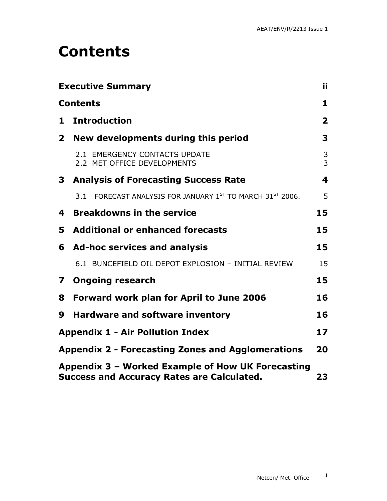# Contents

|              | <b>Executive Summary</b>                                                                               | ij.                 |
|--------------|--------------------------------------------------------------------------------------------------------|---------------------|
|              | <b>Contents</b>                                                                                        | 1                   |
| 1            | <b>Introduction</b>                                                                                    | $\overline{2}$      |
| $\mathbf{2}$ | New developments during this period                                                                    | 3                   |
|              | 2.1 EMERGENCY CONTACTS UPDATE<br>2.2 MET OFFICE DEVELOPMENTS                                           | 3<br>$\overline{3}$ |
| 3            | <b>Analysis of Forecasting Success Rate</b>                                                            | 4                   |
|              | FORECAST ANALYSIS FOR JANUARY 1ST TO MARCH 31ST 2006.<br>3.1                                           | 5                   |
| 4            | <b>Breakdowns in the service</b>                                                                       | 15                  |
| 5.           | <b>Additional or enhanced forecasts</b>                                                                | 15                  |
| 6            | <b>Ad-hoc services and analysis</b>                                                                    | 15                  |
|              | 6.1 BUNCEFIELD OIL DEPOT EXPLOSION - INITIAL REVIEW                                                    | 15                  |
| $\mathbf{7}$ | <b>Ongoing research</b>                                                                                | 15                  |
| 8            | <b>Forward work plan for April to June 2006</b>                                                        | 16                  |
| 9            | Hardware and software inventory                                                                        | 16                  |
|              | <b>Appendix 1 - Air Pollution Index</b>                                                                | 17                  |
|              | <b>Appendix 2 - Forecasting Zones and Agglomerations</b>                                               | 20                  |
|              | Appendix 3 – Worked Example of How UK Forecasting<br><b>Success and Accuracy Rates are Calculated.</b> | 23                  |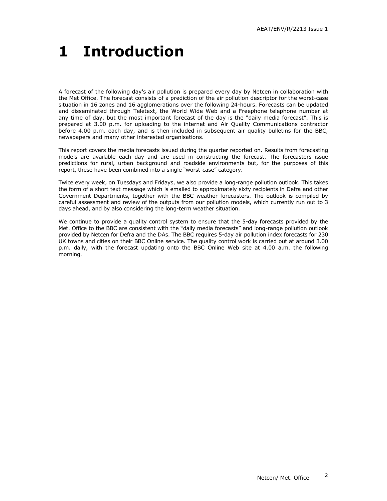# 1 Introduction

A forecast of the following day's air pollution is prepared every day by Netcen in collaboration with the Met Office. The forecast consists of a prediction of the air pollution descriptor for the worst-case situation in 16 zones and 16 agglomerations over the following 24-hours. Forecasts can be updated and disseminated through Teletext, the World Wide Web and a Freephone telephone number at any time of day, but the most important forecast of the day is the "daily media forecast". This is prepared at 3.00 p.m. for uploading to the internet and Air Quality Communications contractor before 4.00 p.m. each day, and is then included in subsequent air quality bulletins for the BBC, newspapers and many other interested organisations.

This report covers the media forecasts issued during the quarter reported on. Results from forecasting models are available each day and are used in constructing the forecast. The forecasters issue predictions for rural, urban background and roadside environments but, for the purposes of this report, these have been combined into a single "worst-case" category.

Twice every week, on Tuesdays and Fridays, we also provide a long-range pollution outlook. This takes the form of a short text message which is emailed to approximately sixty recipients in Defra and other Government Departments, together with the BBC weather forecasters. The outlook is compiled by careful assessment and review of the outputs from our pollution models, which currently run out to 3 days ahead, and by also considering the long-term weather situation.

We continue to provide a quality control system to ensure that the 5-day forecasts provided by the Met. Office to the BBC are consistent with the "daily media forecasts" and long-range pollution outlook provided by Netcen for Defra and the DAs. The BBC requires 5-day air pollution index forecasts for 230 UK towns and cities on their BBC Online service. The quality control work is carried out at around 3.00 p.m. daily, with the forecast updating onto the BBC Online Web site at 4.00 a.m. the following morning.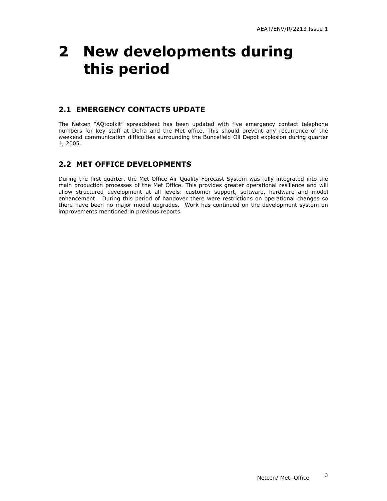## 2 New developments during this period

### 2.1 EMERGENCY CONTACTS UPDATE

The Netcen "AQtoolkit" spreadsheet has been updated with five emergency contact telephone numbers for key staff at Defra and the Met office. This should prevent any recurrence of the weekend communication difficulties surrounding the Buncefield Oil Depot explosion during quarter 4, 2005.

### 2.2 MET OFFICE DEVELOPMENTS

During the first quarter, the Met Office Air Quality Forecast System was fully integrated into the main production processes of the Met Office. This provides greater operational resilience and will allow structured development at all levels: customer support, software, hardware and model enhancement. During this period of handover there were restrictions on operational changes so there have been no major model upgrades. Work has continued on the development system on improvements mentioned in previous reports.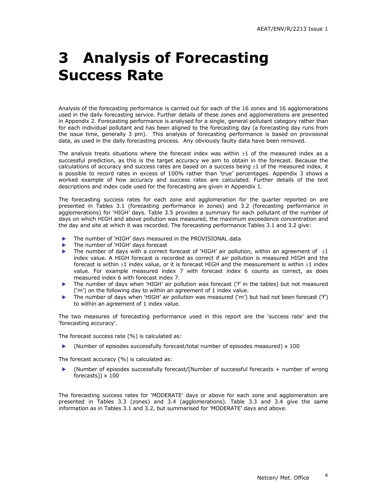# 3 Analysis of Forecasting Success Rate

Analysis of the forecasting performance is carried out for each of the 16 zones and 16 agglomerations used in the daily forecasting service. Further details of these zones and agglomerations are presented in Appendix 2. Forecasting performance is analysed for a single, general pollutant category rather than for each individual pollutant and has been aligned to the forecasting day (a forecasting day runs from the issue time, generally 3 pm). This analysis of forecasting performance is based on provisional data, as used in the daily forecasting process. Any obviously faulty data have been removed.

The analysis treats situations where the forecast index was within  $\pm 1$  of the measured index as a successful prediction, as this is the target accuracy we aim to obtain in the forecast. Because the calculations of accuracy and success rates are based on a success being  $\pm 1$  of the measured index, it is possible to record rates in excess of 100% rather than 'true' percentages. Appendix 3 shows a worked example of how accuracy and success rates are calculated. Further details of the text descriptions and index code used for the forecasting are given in Appendix 1.

The forecasting success rates for each zone and agglomeration for the quarter reported on are presented in Tables 3.1 (forecasting performance in zones) and 3.2 (forecasting performance in agglomerations) for 'HIGH' days. Table 3.5 provides a summary for each pollutant of the number of days on which HIGH and above pollution was measured, the maximum exceedence concentration and the day and site at which it was recorded. The forecasting performance Tables 3.1 and 3.2 give:

- The number of 'HIGH' days measured in the PROVISIONAL data
- The number of 'HIGH' days forecast
- The number of days with a correct forecast of 'HIGH' air pollution, within an agreement of  $\pm 1$ index value. A HIGH forecast is recorded as correct if air pollution is measured HIGH and the forecast is within  $\pm 1$  index value, or it is forecast HIGH and the measurement is within  $\pm 1$  index value. For example measured index 7 with forecast index 6 counts as correct, as does measured index 6 with forecast index 7.
- The number of days when 'HIGH' air pollution was forecast ('f' in the tables) but not measured ('m') on the following day to within an agreement of 1 index value.
- The number of days when 'HIGH' air pollution was measured ('m') but had not been forecast ('f') to within an agreement of 1 index value.

The two measures of forecasting performance used in this report are the 'success rate' and the 'forecasting accuracy'.

The forecast success rate (%) is calculated as:

 $\blacktriangleright$  (Number of episodes successfully forecast/total number of episodes measured)  $\times$  100

The forecast accuracy (%) is calculated as:

 $\blacktriangleright$  (Number of episodes successfully forecast/[Number of successful forecasts + number of wrong forecasts])  $\times$  100

The forecasting success rates for 'MODERATE' days or above for each zone and agglomeration are presented in Tables 3.3 (zones) and 3.4 (agglomerations). Table 3.3 and 3.4 give the same information as in Tables 3.1 and 3.2, but summarised for 'MODERATE' days and above.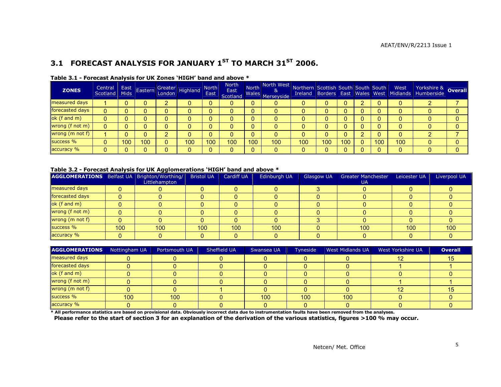### 3.1 FORECAST ANALYSIS FOR JANUARY  $1^{ST}$  TO MARCH 31 $^{ST}$  2006.

| <b>ZONES</b>    | Scotland Mids Eastern |                  |     | Greater Highland | North<br>East | <b>North</b><br>East<br>Scotland | <b>North</b> | North West Northern Scottish South South South<br>&<br>Males Merseyside |     |     |     |     |     | Northern Scottish South South South West Yorkshire & Overall |   |
|-----------------|-----------------------|------------------|-----|------------------|---------------|----------------------------------|--------------|-------------------------------------------------------------------------|-----|-----|-----|-----|-----|--------------------------------------------------------------|---|
| measured days   |                       |                  |     |                  |               |                                  | 0            |                                                                         |     |     |     |     |     |                                                              |   |
| forecasted days |                       |                  |     |                  |               |                                  |              | O                                                                       |     |     |     |     |     |                                                              |   |
| ok (f and m)    |                       |                  |     |                  |               |                                  | 0            | 0                                                                       |     |     |     |     |     |                                                              | 0 |
| wrong (f not m) |                       |                  |     |                  |               |                                  | $\mathbf{0}$ | 0                                                                       |     |     |     |     |     |                                                              |   |
| wrong (m not f) |                       |                  |     |                  |               |                                  | 0            | 0                                                                       |     |     |     |     |     |                                                              |   |
| success %       |                       | 100 <sup>°</sup> | 100 | 100              | 100           | 100                              | 100          | 100                                                                     | 100 | 100 | 100 | 100 | 100 |                                                              |   |
| accuracy %      |                       |                  |     |                  |               |                                  | $\mathbf{0}$ | 0                                                                       |     |     |     |     |     |                                                              |   |

#### Table 3.1 - Forecast Analysis for UK Zones 'HIGH' band and above \*

#### Table 3.2 - Forecast Analysis for UK Agglomerations 'HIGH' band and above \*

| AGGLOMERATIONS   Belfast UA   Brighton/Worthing/ |     | Littlehampton | <b>Bristol UA</b> | Cardiff UA | Edinburgh UA | <b>Glasgow UA</b> | <b>Greater Manchester</b><br>UA | Leicester UA | Liverpool UA |
|--------------------------------------------------|-----|---------------|-------------------|------------|--------------|-------------------|---------------------------------|--------------|--------------|
| measured days                                    |     |               |                   |            |              |                   |                                 |              |              |
| forecasted days                                  |     |               |                   |            |              |                   |                                 |              |              |
| ok (f and m)                                     |     |               |                   |            |              |                   |                                 |              |              |
| wrong (f not m)                                  |     |               |                   |            |              |                   |                                 |              |              |
| wrong (m not f)                                  |     |               |                   |            |              |                   |                                 |              |              |
| success %                                        | 100 | 100           | 100               | 100        | 100          |                   | 100                             | 100          | 100          |
| accuracy %                                       |     |               |                   |            |              |                   |                                 |              |              |

| <b>AGGLOMERATIONS</b>                                                                                                                                   | Nottingham UA | Portsmouth UA    | Sheffield UA | Swansea UA | Tyneside | West Midlands UA | West Yorkshire UA | <b>Overall</b> |
|---------------------------------------------------------------------------------------------------------------------------------------------------------|---------------|------------------|--------------|------------|----------|------------------|-------------------|----------------|
| measured days                                                                                                                                           |               |                  |              |            |          |                  |                   |                |
| forecasted days                                                                                                                                         |               |                  |              |            |          |                  |                   |                |
| ok (f and m)                                                                                                                                            |               |                  |              |            |          |                  |                   |                |
| wrong (f not m)                                                                                                                                         |               |                  |              |            |          |                  |                   |                |
| wrong (m not f)                                                                                                                                         |               |                  |              |            |          |                  |                   |                |
| success %                                                                                                                                               | 100           | 100 <sup>1</sup> |              | 100        | 100      | 100              |                   |                |
| accuracy %                                                                                                                                              |               |                  |              |            |          |                  |                   |                |
| * All performance statistics are based on provisional data. Obviously incorrect data due to instrumentation faults have been removed from the analyses. |               |                  |              |            |          |                  |                   |                |

Please refer to the start of section 3 for an explanation of the derivation of the various statistics, figures >100 % may occur.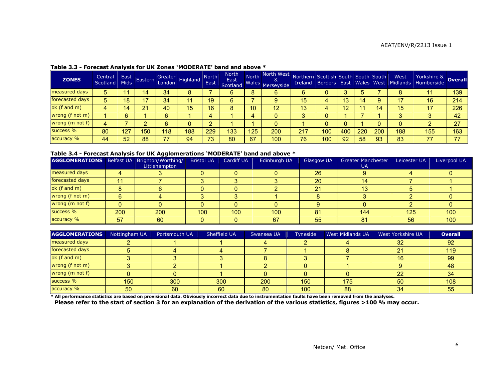| <b>ZONES</b>    | Central<br>Scotland | East<br><b>Mids</b> | Eastern | London | <b>Arn</b> Greater Highland | <b>North</b><br>East | <b>North</b><br><b>East</b><br>Scotland | <b>North</b><br>Wales | North West<br>&<br>Merseyside | Northern Scottish South South South<br><b>Ireland</b> | Borders East |     | Wales West |     | West<br>Midlands | Yorkshire & Overall'<br>Humberside |     |
|-----------------|---------------------|---------------------|---------|--------|-----------------------------|----------------------|-----------------------------------------|-----------------------|-------------------------------|-------------------------------------------------------|--------------|-----|------------|-----|------------------|------------------------------------|-----|
| measured days   | 5                   |                     | 14      | 34     | Ō                           |                      | 6                                       | 8                     | 6                             | 6                                                     |              |     |            |     |                  |                                    | 139 |
| forecasted days | 5                   | 18                  |         | 34     |                             | 19                   | 6                                       |                       | 9                             | 15                                                    |              | 13  | 14         |     |                  | 16                                 | 214 |
| ok (f and m)    |                     | $14-$               | 21      | 40     | 15                          | 16                   | 8                                       | 10                    | 12                            | 13                                                    | 4            | ∠   |            |     | 15               | 17                                 | 226 |
| wrong (f not m) |                     | 6                   |         | 6      |                             | 4                    |                                         | 4                     | 0                             |                                                       |              |     |            |     | 2                |                                    | 42  |
| wrong (m not f) |                     |                     |         |        |                             |                      |                                         |                       |                               |                                                       |              |     |            |     |                  |                                    | 27  |
| success %       | 80                  | 127                 | 150     | 118    | 188                         | 229                  | 133                                     | 125                   | 200                           | 217                                                   | 100          | 400 | 220        | 200 | 188              | 155                                | 163 |
| accuracy %      | 44                  | 52                  | 88      | 77     | 94                          | 73                   | 80                                      | 67                    | 100                           | 76                                                    | 100          | 92  | 58         | 93  | 83               | 77                                 | 77  |

### Table 3.3 - Forecast Analysis for UK Zones 'MODERATE' band and above \*

### Table 3.4 - Forecast Analysis for UK Agglomerations 'MODERATE' band and above \*

| AGGLOMERATIONS   Belfast UA   Brighton/Worthing/ |     | Littlehampton | <b>Bristol UA</b> | <b>Cardiff UA</b> | Edinburgh UA | Glasgow UA | <b>Greater Manchester</b><br><b>UA</b> | Leicester UA | Liverpool UA |
|--------------------------------------------------|-----|---------------|-------------------|-------------------|--------------|------------|----------------------------------------|--------------|--------------|
| measured days                                    |     |               |                   |                   |              | 26         |                                        |              |              |
| forecasted days                                  | 11  |               |                   |                   |              | 20         |                                        |              |              |
| ok (f and m)                                     |     |               |                   |                   |              | 21         |                                        |              |              |
| wrong (f not m)                                  |     |               |                   |                   |              |            |                                        |              |              |
| wrong (m not f)                                  |     |               |                   |                   |              |            |                                        |              |              |
| success %                                        | 200 | 200           | 100 <sup>1</sup>  | 100 <sup>1</sup>  | 100          | 81         | 144                                    | 125          | 100          |
| accuracy %                                       | 57  | 60            |                   |                   | 67           | 55         | 81                                     | 56           | 100          |

| <b>AGGLOMERATIONS</b>                                                                                                                                   | Nottingham UA | Portsmouth UA | Sheffield UA | Swansea UA | Tyneside | <b>West Midlands UA</b> | West Yorkshire UA | <b>Overall</b> |
|---------------------------------------------------------------------------------------------------------------------------------------------------------|---------------|---------------|--------------|------------|----------|-------------------------|-------------------|----------------|
| measured days                                                                                                                                           |               |               |              |            |          |                         | 32                | 92             |
| forecasted days                                                                                                                                         |               |               |              |            |          |                         |                   | 119            |
| ok (f and m)                                                                                                                                            |               |               |              |            |          |                         |                   | 99             |
| wrong (f not m)                                                                                                                                         |               |               |              |            |          |                         |                   | 48             |
| wrong (m not f)                                                                                                                                         |               |               |              |            |          |                         | 22                |                |
| success %                                                                                                                                               | 150           | 300           | 300          | 200        | 150      | 175                     | 50                | 108            |
| accuracy %                                                                                                                                              | 50            | 60            | 60           | 80         | 100      | 88                      | 34                | 55             |
| * All performance statistics are based on provisional data. Obviously incorrect data due to instrumentation faults have been removed from the analyses. |               |               |              |            |          |                         |                   |                |

Please refer to the start of section 3 for an explanation of the derivation of the various statistics, figures >100 % may occur.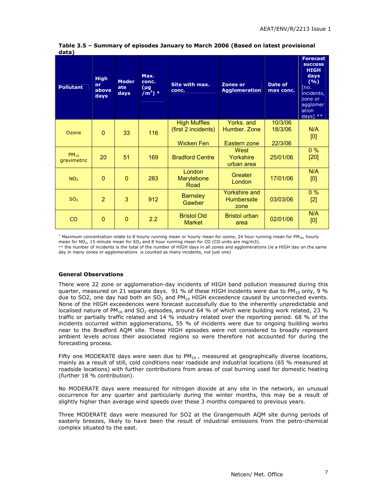| <b>Pollutant</b> | <b>High</b><br>or<br>above<br>days | <b>Moder</b><br>ate<br>days | Max.<br>conc.<br>$(\mu q)$<br>$\sqrt{m^3}$ ) * | Site with max.<br>conc. | <b>Zones or</b><br><b>Agglomeration</b> | Date of<br>max conc. | <b>Forecast</b><br><b>SUCCESS</b><br><b>HIGH</b><br>days<br>(9/6)<br>[no.<br>incidents,<br>zone or<br>agglomer<br>ation<br>days] $**$ |
|------------------|------------------------------------|-----------------------------|------------------------------------------------|-------------------------|-----------------------------------------|----------------------|---------------------------------------------------------------------------------------------------------------------------------------|
|                  |                                    |                             |                                                | <b>High Muffles</b>     | Yorks, and                              | 10/3/06              |                                                                                                                                       |
| Ozone            | $\mathbf{0}$                       | 33                          | 116                                            | (first 2 incidents)     | Humber, Zone                            | 18/3/06              | N/A<br>[0]                                                                                                                            |
|                  |                                    |                             |                                                | <b>Wicken Fen</b>       | Eastern zone                            | 22/3/06              |                                                                                                                                       |
| $PM_{10}$        |                                    |                             |                                                |                         | West                                    |                      | $0\%$                                                                                                                                 |
| gravimetric      | 20                                 | 51                          | 169                                            | <b>Bradford Centre</b>  | Yorkshire<br>urban area                 | 25/01/06             | [20]                                                                                                                                  |
|                  |                                    |                             |                                                | London                  | Greater                                 |                      | N/A                                                                                                                                   |
| NO <sub>2</sub>  | $\mathbf{0}$                       | $\Omega$                    | 283                                            | Marylebone<br>Road      | London                                  | 17/01/06             | [0]                                                                                                                                   |
|                  |                                    |                             |                                                | <b>Barnsley</b>         | <b>Yorkshire and</b>                    |                      | $0\%$                                                                                                                                 |
| SO <sub>2</sub>  | $\overline{2}$                     | 3                           | 912                                            | Gawber                  | <b>Humberside</b><br>zone               | 03/03/06             | [2]                                                                                                                                   |
| <sub>CO</sub>    | $\mathbf{0}$                       | $\overline{0}$              | 2.2                                            | <b>Bristol Old</b>      | <b>Bristol urban</b>                    | 02/01/06             | N/A                                                                                                                                   |
|                  |                                    |                             |                                                | <b>Market</b>           | area                                    |                      | [0]                                                                                                                                   |

#### Table 3.5 – Summary of episodes January to March 2006 (Based on latest provisional data)

\* Maximum concentration relate to 8 hourly running mean or hourly mean for ozone, 24 hour running mean for PM<sub>10</sub>, hourly mean for  $NO<sub>2</sub>$ , 15 minute mean for  $SO<sub>2</sub>$  and 8 hour running mean for CO (CO units are mg/m3).

\*\* the number of incidents is the total of the number of HIGH days in all zones and agglomerations (ie a HIGH day on the same day in many zones or agglomerations is counted as many incidents, not just one)

#### General Observations

There were 22 zone or agglomeration-day incidents of HIGH band pollution measured during this quarter, measured on 21 separate days. 91 % of these HIGH incidents were due to PM<sub>10</sub> only, 9 % due to SO2, one day had both an  $SO_2$  and PM<sub>10</sub> HIGH exceedence caused by unconnected events. None of the HIGH exceedences were forecast successfully due to the inherently unpredictable and localised nature of PM<sub>10</sub> and SO<sub>2</sub> episodes, around 64 % of which were building work related, 23 % traffic or partially traffic related and 14 % industry related over the reporting period. 68 % of the incidents occurred within agglomerations, 55 % of incidents were due to ongoing building works near to the Bradford AQM site. These HIGH episodes were not considered to broadly represent ambient levels across their associated regions so were therefore not accounted for during the forecasting process.

Fifty one MODERATE days were seen due to  $PM_{10}$ , measured at geographically diverse locations, mainly as a result of still, cold conditions near roadside and industrial locations (65 % measured at roadside locations) with further contributions from areas of coal burning used for domestic heating (further 18 % contribution).

No MODERATE days were measured for nitrogen dioxide at any site in the network, an unusual occurrence for any quarter and particularly during the winter months, this may be a result of slightly higher than average wind speeds over these 3 months compared to previous years.

Three MODERATE days were measured for SO2 at the Grangemouth AQM site during periods of easterly breezes, likely to have been the result of industrial emissions from the petro-chemical complex situated to the east.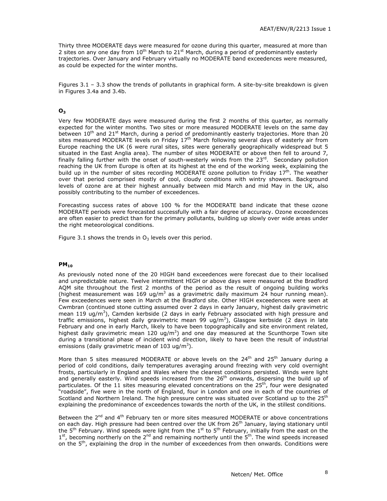Thirty three MODERATE days were measured for ozone during this quarter, measured at more than 2 sites on any one day from  $10<sup>th</sup>$  March to  $21<sup>st</sup>$  March, during a period of predominantly easterly trajectories. Over January and February virtually no MODERATE band exceedences were measured, as could be expected for the winter months.

Figures 3.1 – 3.3 show the trends of pollutants in graphical form. A site-by-site breakdown is given in Figures 3.4a and 3.4b.

### $O<sub>3</sub>$

Very few MODERATE days were measured during the first 2 months of this quarter, as normally expected for the winter months. Two sites or more measured MODERATE levels on the same day between  $10^{th}$  and  $21^{st}$  March, during a period of predominantly easterly trajectories. More than 20 sites measured MODERATE levels on Friday 17th March following several days of easterly air from Europe reaching the UK (6 were rural sites, sites were generally geographically widespread but 5 situated in the East Anglia area). The number of sites MODERATE or above then fell to around 7, finally falling further with the onset of south-westerly winds from the 23<sup>rd</sup>. Secondary pollution reaching the UK from Europe is often at its highest at the end of the working week, explaining the build up in the number of sites recording MODERATE ozone pollution to Friday  $17<sup>th</sup>$ . The weather over that period comprised mostly of cool, cloudy conditions with wintry showers. Background levels of ozone are at their highest annually between mid March and mid May in the UK, also possibly contributing to the number of exceedences.

Forecasting success rates of above 100 % for the MODERATE band indicate that these ozone MODERATE periods were forecasted successfully with a fair degree of accuracy. Ozone exceedences are often easier to predict than for the primary pollutants, building up slowly over wide areas under the right meteorological conditions.

Figure 3.1 shows the trends in  $O_3$  levels over this period.

### $PM_{10}$

As previously noted none of the 20 HIGH band exceedences were forecast due to their localised and unpredictable nature. Twelve intermittent HIGH or above days were measured at the Bradford AQM site throughout the first 2 months of the period as the result of ongoing building works (highest measurement was 169 ug/m<sup>3</sup> as a gravimetric daily maximum 24 hour running mean). Few exceedences were seen in March at the Bradford site. Other HIGH exceedences were seen at Cwmbran (continued stone cutting assumed over 2 days in early January, highest daily gravimetric mean 119 ug/m<sup>3</sup>), Camden kerbside (2 days in early February associated with high pressure and traffic emissions, highest daily gravimetric mean 99 ug/m<sup>3</sup>), Glasgow kerbside (2 days in late February and one in early March, likely to have been topographically and site environment related, highest daily gravimetric mean 120 ug/m<sup>3</sup>) and one day measured at the Scunthorpe Town site during a transitional phase of incident wind direction, likely to have been the result of industrial emissions (daily gravimetric mean of 103 ug/m<sup>3</sup>).

More than 5 sites measured MODERATE or above levels on the  $24<sup>th</sup>$  and  $25<sup>th</sup>$  January during a period of cold conditions, daily temperatures averaging around freezing with very cold overnight frosts, particularly in England and Wales where the clearest conditions persisted. Winds were light and generally easterly. Wind speeds increased from the 26<sup>th</sup> onwards, dispersing the build up of particulates. Of the 11 sites measuring elevated concentrations on the 25<sup>th</sup>, four were designated "roadside", five were in the north of England, four in London and one in each of the countries of Scotland and Northern Ireland. The high pressure centre was situated over Scotland up to the 25<sup>th</sup> explaining the predominance of exceedences towards the north of the UK, in the stillest conditions.

Between the  $2^{nd}$  and  $4^{th}$  February ten or more sites measured MODERATE or above concentrations on each day. High pressure had been centred over the UK from 26<sup>th</sup> January, laying stationary until the 5<sup>th</sup> February. Wind speeds were light from the 1<sup>st</sup> to 5<sup>th</sup> February, initially from the east on the  $1<sup>st</sup>$ , becoming northerly on the  $2<sup>nd</sup>$  and remaining northerly until the  $5<sup>th</sup>$ . The wind speeds increased on the 5<sup>th</sup>, explaining the drop in the number of exceedences from then onwards. Conditions were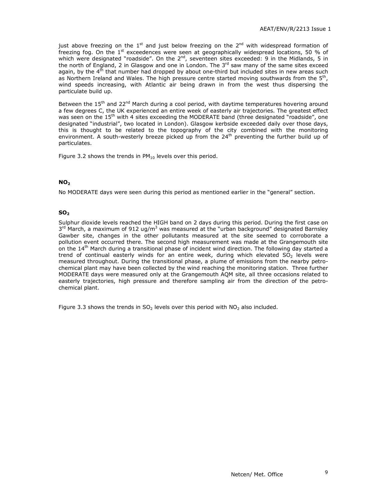just above freezing on the  $1<sup>st</sup>$  and just below freezing on the  $2<sup>nd</sup>$  with widespread formation of freezing fog. On the  $1<sup>st</sup>$  exceedences were seen at geographically widespread locations, 50 % of which were designated "roadside". On the 2<sup>nd</sup>, seventeen sites exceeded: 9 in the Midlands, 5 in the north of England, 2 in Glasgow and one in London. The  $3<sup>rd</sup>$  saw many of the same sites exceed again, by the  $4<sup>th</sup>$  that number had dropped by about one-third but included sites in new areas such as Northern Ireland and Wales. The high pressure centre started moving southwards from the  $5<sup>th</sup>$ , wind speeds increasing, with Atlantic air being drawn in from the west thus dispersing the particulate build up.

Between the 15<sup>th</sup> and 22<sup>nd</sup> March during a cool period, with daytime temperatures hovering around a few degrees C, the UK experienced an entire week of easterly air trajectories. The greatest effect was seen on the 15<sup>th</sup> with 4 sites exceeding the MODERATE band (three designated "roadside", one designated "industrial", two located in London). Glasgow kerbside exceeded daily over those days, this is thought to be related to the topography of the city combined with the monitoring environment. A south-westerly breeze picked up from the  $24<sup>th</sup>$  preventing the further build up of particulates.

Figure 3.2 shows the trends in  $PM_{10}$  levels over this period.

#### $NO<sub>2</sub>$

No MODERATE days were seen during this period as mentioned earlier in the "general" section.

#### $SO<sub>2</sub>$

Sulphur dioxide levels reached the HIGH band on 2 days during this period. During the first case on 3<sup>rd</sup> March, a maximum of 912 ug/m<sup>3</sup> was measured at the "urban background" designated Barnsley Gawber site, changes in the other pollutants measured at the site seemed to corroborate a pollution event occurred there. The second high measurement was made at the Grangemouth site on the 14<sup>th</sup> March during a transitional phase of incident wind direction. The following day started a trend of continual easterly winds for an entire week, during which elevated  $SO<sub>2</sub>$  levels were measured throughout. During the transitional phase, a plume of emissions from the nearby petrochemical plant may have been collected by the wind reaching the monitoring station. Three further MODERATE days were measured only at the Grangemouth AQM site, all three occasions related to easterly trajectories, high pressure and therefore sampling air from the direction of the petrochemical plant.

Figure 3.3 shows the trends in  $SO<sub>2</sub>$  levels over this period with NO<sub>2</sub> also included.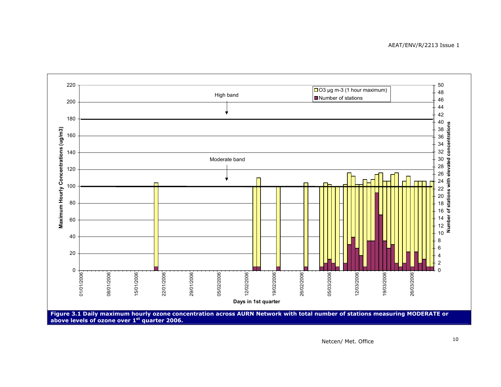

Netcen/ Met. Office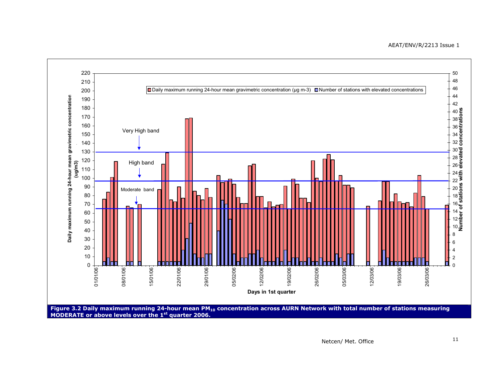

Netcen/ Met. Office



Figure 3.2 Daily maximum running 24-hour mean PM<sub>10</sub> concentration across AURN Network with total number of stations measuring<br>MODERATE or above levels over the 1<sup>st</sup> quarter 2006.

e 11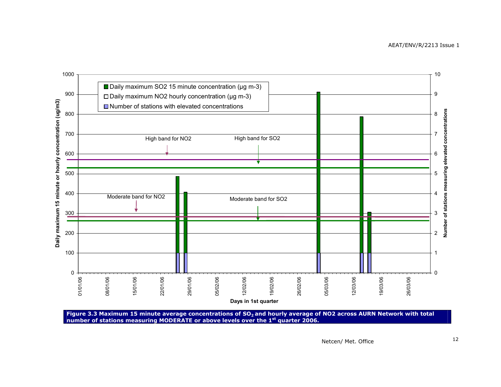

Figure 3.3 Maximum 15 minute average concentrations of SO<sub>2</sub> and hourly average of NO2 across AURN Network with total<br>number of stations measuring MODERATE or above levels over the 1<sup>st</sup> quarter 2006.

Netcen/ Met. Office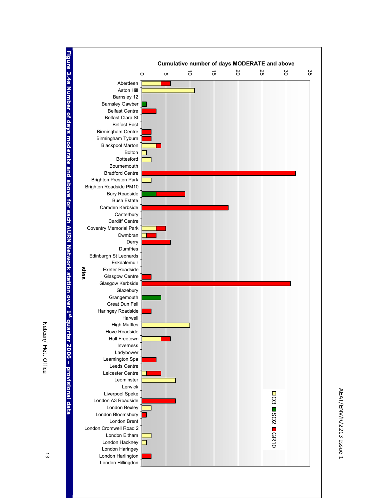

AEAT/ENV/R/2213 Issue 1

AEAT/ENV/R/2213 Issue 1

Netcen/ Met. Office Netcen/ Met. Office

13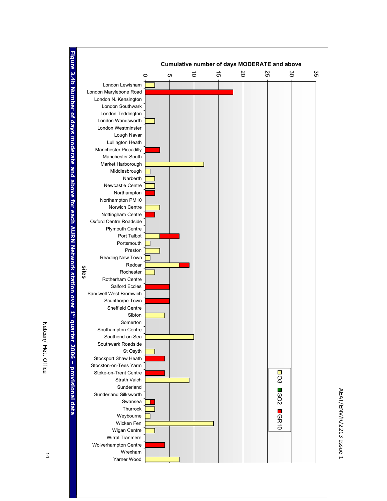

AEAT/ENV/R/2213 Issue 1 AEAT/ENV/R/2213 Issue 1

Netcen/ Met. Office Netcen/ Met. Office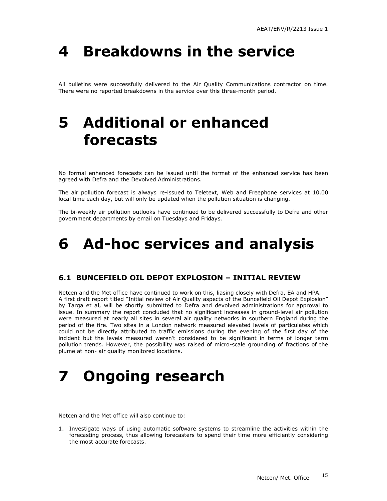# 4 Breakdowns in the service

All bulletins were successfully delivered to the Air Quality Communications contractor on time. There were no reported breakdowns in the service over this three-month period.

## 5 Additional or enhanced forecasts

No formal enhanced forecasts can be issued until the format of the enhanced service has been agreed with Defra and the Devolved Administrations.

The air pollution forecast is always re-issued to Teletext, Web and Freephone services at 10.00 local time each day, but will only be updated when the pollution situation is changing.

The bi-weekly air pollution outlooks have continued to be delivered successfully to Defra and other government departments by email on Tuesdays and Fridays.

### 6 Ad-hoc services and analysis

### 6.1 BUNCEFIELD OIL DEPOT EXPLOSION – INITIAL REVIEW

Netcen and the Met office have continued to work on this, liasing closely with Defra, EA and HPA. A first draft report titled "Initial review of Air Quality aspects of the Buncefield Oil Depot Explosion" by Targa et al, will be shortly submitted to Defra and devolved administrations for approval to issue. In summary the report concluded that no significant increases in ground-level air pollution were measured at nearly all sites in several air quality networks in southern England during the period of the fire. Two sites in a London network measured elevated levels of particulates which could not be directly attributed to traffic emissions during the evening of the first day of the incident but the levels measured weren't considered to be significant in terms of longer term pollution trends. However, the possibility was raised of micro-scale grounding of fractions of the plume at non- air quality monitored locations.

# 7 Ongoing research

Netcen and the Met office will also continue to:

1. Investigate ways of using automatic software systems to streamline the activities within the forecasting process, thus allowing forecasters to spend their time more efficiently considering the most accurate forecasts.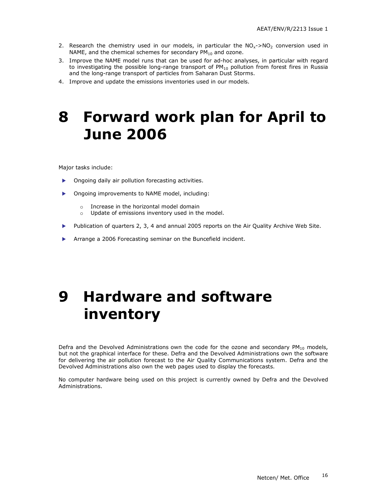- 2. Research the chemistry used in our models, in particular the  $NO<sub>x</sub>$ ->NO<sub>2</sub> conversion used in NAME, and the chemical schemes for secondary  $PM_{10}$  and ozone.
- 3. Improve the NAME model runs that can be used for ad-hoc analyses, in particular with regard to investigating the possible long-range transport of  $PM_{10}$  pollution from forest fires in Russia and the long-range transport of particles from Saharan Dust Storms.
- 4. Improve and update the emissions inventories used in our models.

## 8 Forward work plan for April to June 2006

Major tasks include:

- **Dimes Departs A** Ongoing daily air pollution forecasting activities.
- ▶ Ongoing improvements to NAME model, including:
	- o Increase in the horizontal model domain
	- o Update of emissions inventory used in the model.
- Publication of quarters 2, 3, 4 and annual 2005 reports on the Air Quality Archive Web Site.
- **Arrange a 2006 Forecasting seminar on the Buncefield incident.**

## 9 Hardware and software inventory

Defra and the Devolved Administrations own the code for the ozone and secondary  $PM<sub>10</sub>$  models, but not the graphical interface for these. Defra and the Devolved Administrations own the software for delivering the air pollution forecast to the Air Quality Communications system. Defra and the Devolved Administrations also own the web pages used to display the forecasts.

No computer hardware being used on this project is currently owned by Defra and the Devolved Administrations.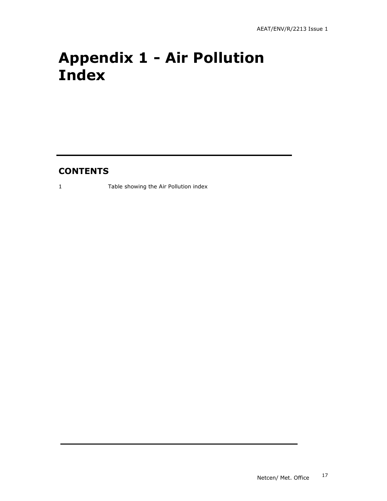# Appendix 1 - Air Pollution Index

### **CONTENTS**

1 Table showing the Air Pollution index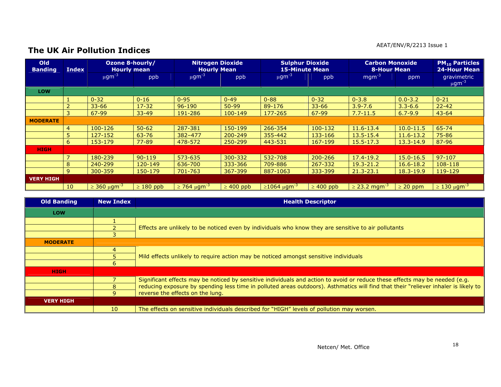### AEAT/ENV/R/2213 Issue 1

### The UK Air Pollution Indices

| <b>Old</b><br><b>Banding</b> | <b>Index</b>   | Ozone 8-hourly/<br><b>Hourly mean</b> |                | <b>Nitrogen Dioxide</b><br><b>Hourly Mean</b> |                | <b>Sulphur Dioxide</b><br><b>15-Minute Mean</b> |                | <b>Carbon Monoxide</b><br><b>8-Hour Mean</b> |               | <b>PM<sub>10</sub> Particles</b><br><b>24-Hour Mean</b> |
|------------------------------|----------------|---------------------------------------|----------------|-----------------------------------------------|----------------|-------------------------------------------------|----------------|----------------------------------------------|---------------|---------------------------------------------------------|
|                              |                | $\mu$ gm <sup>-3</sup>                | ppb            | $\mu$ gm <sup>-3</sup>                        | ppb            | $\mu$ gm <sup>-3</sup>                          | ppb            | $mgm^{-3}$                                   | ppm           | gravimetric<br>$\mu$ gm <sup>-3</sup>                   |
| <b>LOW</b>                   |                |                                       |                |                                               |                |                                                 |                |                                              |               |                                                         |
|                              |                | $0 - 32$                              | $0 - 16$       | $0 - 95$                                      | $0 - 49$       | $0 - 88$                                        | $0 - 32$       | $0 - 3.8$                                    | $0.0 - 3.2$   | $0 - 21$                                                |
|                              | $\overline{2}$ | $33 - 66$                             | $17 - 32$      | $96 - 190$                                    | $50 - 99$      | 89-176                                          | $33 - 66$      | $3.9 - 7.6$                                  | $3.3 - 6.6$   | $22 - 42$                                               |
|                              | 3              | 67-99                                 | $33 - 49$      | 191-286                                       | 100-149        | 177-265                                         | 67-99          | $7.7 - 11.5$                                 | $6.7 - 9.9$   | $43 - 64$                                               |
| <b>MODERATE</b>              |                |                                       |                |                                               |                |                                                 |                |                                              |               |                                                         |
|                              | 4              | 100-126                               | $50 - 62$      | 287-381                                       | 150-199        | 266-354                                         | 100-132        | 11.6-13.4                                    | $10.0 - 11.5$ | 65-74                                                   |
|                              | 5              | 127-152                               | $63 - 76$      | $382 - 477$                                   | 200-249        | 355-442                                         | 133-166        | 13.5-15.4                                    | $11.6 - 13.2$ | 75-86                                                   |
|                              | 6              | 153-179                               | $77 - 89$      | 478-572                                       | 250-299        | 443-531                                         | 167-199        | $15.5 - 17.3$                                | $13.3 - 14.9$ | 87-96                                                   |
| <b>HIGH</b>                  |                |                                       |                |                                               |                |                                                 |                |                                              |               |                                                         |
|                              |                | 180-239                               | $90 - 119$     | 573-635                                       | 300-332        | 532-708                                         | 200-266        | 17.4-19.2                                    | $15.0 - 16.5$ | $97 - 107$                                              |
|                              | 8              | 240-299                               | 120-149        | 636-700                                       | 333-366        | 709-886                                         | 267-332        | $19.3 - 21.2$                                | $16.6 - 18.2$ | 108-118                                                 |
|                              | 9              | 300-359                               | 150-179        | 701-763                                       | 367-399        | 887-1063                                        | 333-399        | $21.3 - 23.1$                                | $18.3 - 19.9$ | 119-129                                                 |
| <b>VERY HIGH</b>             |                |                                       |                |                                               |                |                                                 |                |                                              |               |                                                         |
|                              | 10             | $\geq 360 \,\mu\text{gm}^{-3}$        | $\geq 180$ ppb | $\geq$ 764 µgm <sup>-3</sup>                  | $\geq 400$ ppb | $≥1064 \mu$ gm <sup>-3</sup>                    | $\geq 400$ ppb | $\geq$ 23.2 mgm <sup>-3</sup>                | $\geq$ 20 ppm | $\geq$ 130 μgm <sup>-3</sup>                            |

| <b>Old Banding</b> | <b>New Index</b> | <b>Health Descriptor</b>                                                                                                            |  |  |  |  |  |  |
|--------------------|------------------|-------------------------------------------------------------------------------------------------------------------------------------|--|--|--|--|--|--|
| <b>LOW</b>         |                  |                                                                                                                                     |  |  |  |  |  |  |
|                    |                  |                                                                                                                                     |  |  |  |  |  |  |
|                    |                  | Effects are unlikely to be noticed even by individuals who know they are sensitive to air pollutants                                |  |  |  |  |  |  |
|                    |                  |                                                                                                                                     |  |  |  |  |  |  |
| <b>MODERATE</b>    |                  |                                                                                                                                     |  |  |  |  |  |  |
|                    |                  |                                                                                                                                     |  |  |  |  |  |  |
|                    |                  | Mild effects unlikely to require action may be noticed amongst sensitive individuals                                                |  |  |  |  |  |  |
|                    | 6                |                                                                                                                                     |  |  |  |  |  |  |
| <b>HIGH</b>        |                  |                                                                                                                                     |  |  |  |  |  |  |
|                    |                  | Significant effects may be noticed by sensitive individuals and action to avoid or reduce these effects may be needed (e.g.         |  |  |  |  |  |  |
|                    |                  | reducing exposure by spending less time in polluted areas outdoors). Asthmatics will find that their "reliever inhaler is likely to |  |  |  |  |  |  |
|                    | q                | reverse the effects on the lung.                                                                                                    |  |  |  |  |  |  |
| <b>VERY HIGH</b>   |                  |                                                                                                                                     |  |  |  |  |  |  |
|                    | 10 <sup>°</sup>  | The effects on sensitive individuals described for "HIGH" levels of pollution may worsen.                                           |  |  |  |  |  |  |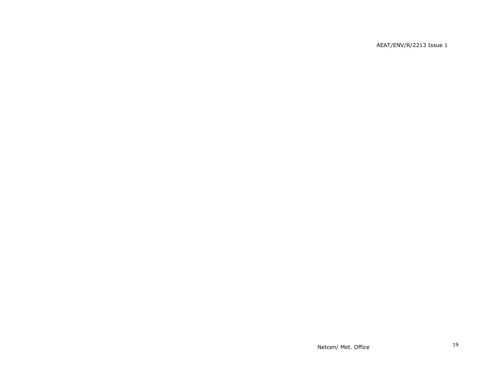AEAT/ENV/R/2213 Issue 1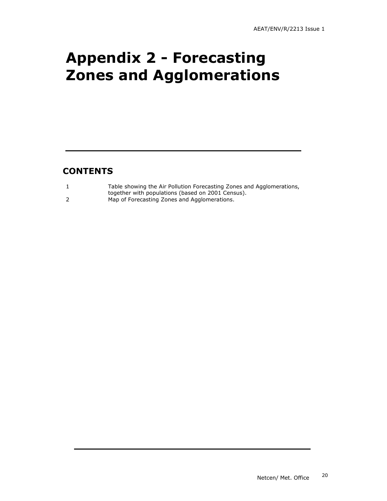# Appendix 2 - Forecasting Zones and Agglomerations

### **CONTENTS**

| Table showing the Air Pollution Forecasting Zones and Agglomerations, |
|-----------------------------------------------------------------------|
| together with populations (based on 2001 Census).                     |
| Map of Forecasting Zones and Agglomerations.                          |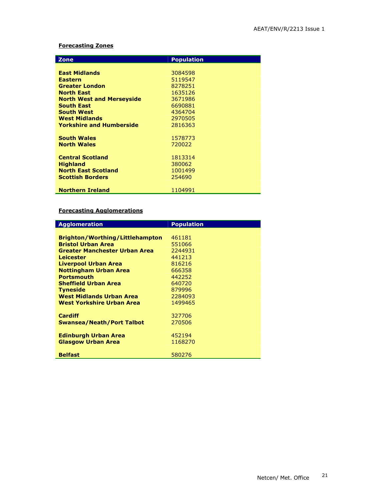### Forecasting Zones

| Zone                             | <b>Population</b> |
|----------------------------------|-------------------|
|                                  |                   |
| <b>East Midlands</b>             | 3084598           |
| <b>Eastern</b>                   | 5119547           |
| <b>Greater London</b>            | 8278251           |
| <b>North East</b>                | 1635126           |
| <b>North West and Merseyside</b> | 3671986           |
| South East                       | 6690881           |
| <b>South West</b>                | 4364704           |
| <b>West Midlands</b>             | 2970505           |
| <b>Yorkshire and Humberside</b>  | 2816363           |
|                                  |                   |
| <b>South Wales</b>               | 1578773           |
| <b>North Wales</b>               | 720022            |
|                                  |                   |
| <b>Central Scotland</b>          | 1813314           |
| <b>Highland</b>                  | 380062            |
| <b>North East Scotland</b>       | 1001499           |
| <b>Scottish Borders</b>          | 254690            |
|                                  |                   |
| <b>Northern Ireland</b>          | 1104991           |

### Forecasting Agglomerations

| <b>Agglomeration</b>                   | <b>Population</b> |
|----------------------------------------|-------------------|
|                                        |                   |
| <b>Brighton/Worthing/Littlehampton</b> | 461181            |
| <b>Bristol Urban Area</b>              | 551066            |
| <b>Greater Manchester Urban Area</b>   | 2244931           |
| <b>Leicester</b>                       | 441213            |
| <b>Liverpool Urban Area</b>            | 816216            |
| <b>Nottingham Urban Area</b>           | 666358            |
| <b>Portsmouth</b>                      | 442252            |
| <b>Sheffield Urban Area</b>            | 640720            |
| <b>Tyneside</b>                        | 879996            |
| West Midlands Urban Area               | 2284093           |
| West Yorkshire Urban Area              | 1499465           |
|                                        |                   |
| <b>Cardiff</b>                         | 327706            |
| Swansea/Neath/Port Talbot              | 270506            |
|                                        |                   |
| <b>Edinburgh Urban Area</b>            | 452194            |
| <b>Glasgow Urban Area</b>              | 1168270           |
|                                        |                   |
| <b>Belfast</b>                         | 580276            |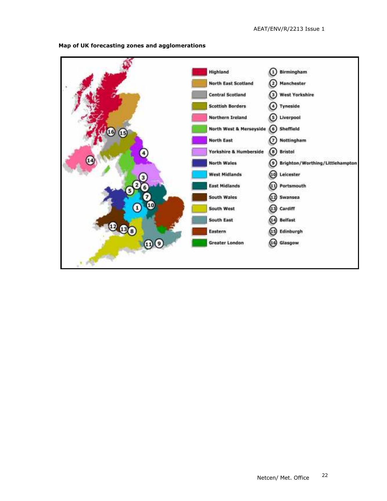

#### Map of UK forecasting zones and agglomerations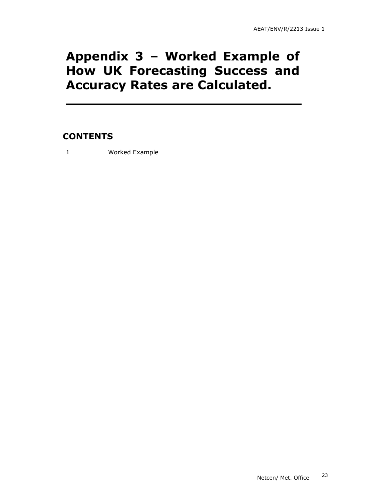### Appendix 3 – Worked Example of How UK Forecasting Success and Accuracy Rates are Calculated.

### **CONTENTS**

1 Worked Example